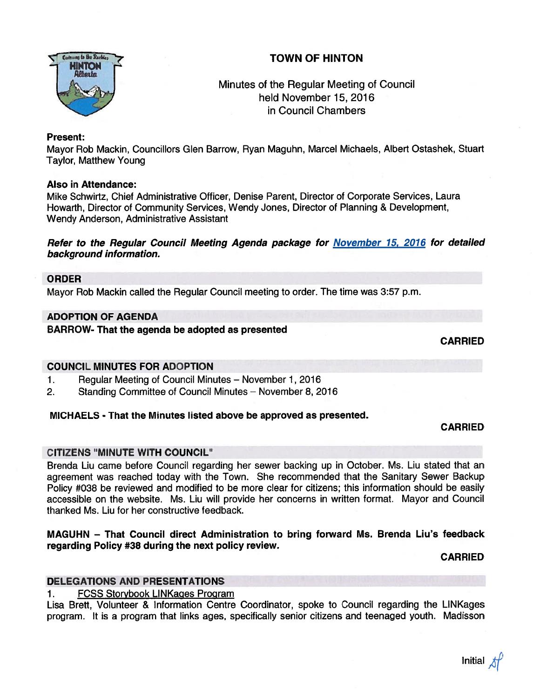# TOWN OF HINTON



# Minutes of the Regular Meeting of Council held November 15, 2016 in Council Chambers

#### Present:

Mayor Rob Mackin, Councillors Glen Barrow, Ryan Maguhn, Marcel Michaels, Albert Ostashek, Stuart Taylor, Matthew Young

#### Also in Attendance:

Mike Schwirtz, Chief Administrative Officer, Denise Parent, Director of Corporate Services, Laura Howarth, Director of Community Services, Wendy Jones, Director of Planning & Development, Wendy Anderson, Administrative Assistant

#### Refer to the Regular Council Meeting Agenda package for November 15, 2016 for detailed background information.

#### ORDER

Mayor Rob Mackin called the Regular Council meeting to order. The time was 3:57 p.m.

### ADOPTION OF AGENDA

# BARROW- That the agenda be adopted as presented

CARRIED

### COUNCIL MINUTES FOR ADOPTION

- 1. Regular Meeting of Council Minutes November 1, 2016
- 2. Standing Committee of Council Minutes November 8, 2016

### MICHAELS - That the Minutes listed above be approved as presented.

### CARRIED

### CITIZENS "MINUTE WITH COUNCIL"

Brenda Liu came before Council regarding her sewer backing up in October. Ms. Liu stated that an agreemen<sup>t</sup> was reached today with the Town. She recommended that the Sanitary Sewer Backup Policy #038 be reviewed and modified to be more clear for citizens; this information should be easily accessible on the website. Ms. Liu will provide her concerns in written format. Mayor and Council thanked Ms. Liu for her constructive feedback.

#### MAGUHN — That Council direct Administration to bring forward Ms. Brenda Liu's feedback regarding Policy #38 during the next policy review.

### CARRIED

### DELEGATIONS AND PRESENTATIONS

### 1. FOSS Storybook LiNKages Program

Lisa Brett, Volunteer & Information Centre Coordinator, spoke to Council regarding the LiNKages program. It is <sup>a</sup> program that links ages, specifically senior citizens and teenaged youth. Madisson

Initial  $\cancel{t}$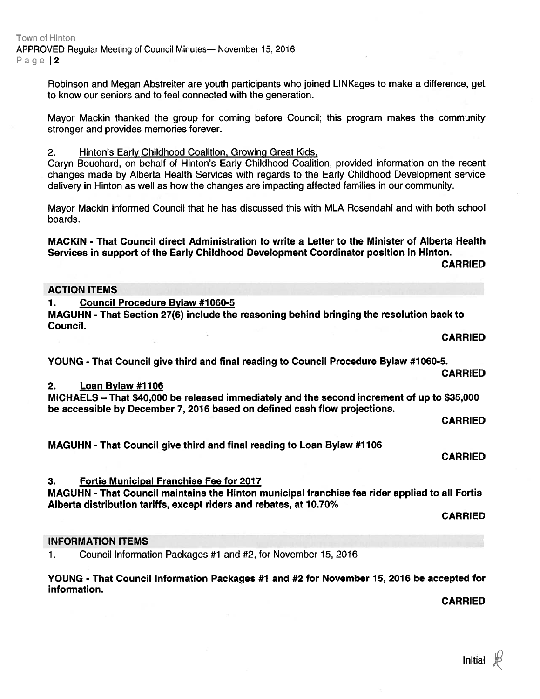Town of Hinton APPROVED Regular Meeting of Council Minutes— November 15, 2016 Page 12

> Robinson and Megan Abstreiter are youth participants who joined LiNKages to make <sup>a</sup> difference, ge<sup>t</sup> to know our seniors and to feel connected with the generation.

> Mayor Mackin thanked the group for coming before Council; this program makes the community stronger and provides memories forever.

2. Hinton's Early Childhood Coalition, Growing Great Kids,

Caryn Bouchard, on behalf of Hinton's Early Childhood Coalition, provided information on the recent changes made by Alberta Health Services with regards to the Early Childhood Development service delivery in Hinton as well as how the changes are impacting affected families in our community.

Mayor Mackin informed Council that he has discussed this with MLA Rosendahl and with both school boards.

MACKIN - That Council direct Administration to write <sup>a</sup> Letter to the Minister of Alberta Health Services in suppor<sup>t</sup> of the Early Childhood Development Coordinator position in Hinton.

CARRIED

#### ACTION ITEMS

1. Council Procedure Bylaw #1060-5

MAGUHN - That Section 27(6) include the reasoning behind bringing the resolution back to Council.

CARRIED

YOUNG - That Council give third and final reading to Council Procedure Bylaw #1060-5.

CARRIED

#### 2. Loan Bylaw #1106

MICHAELS — That \$40,000 be released immediately and the second increment of up to \$35,000 be accessible by December 7, 2016 based on defined cash flow projections.

CARRIED

MAGUHN - That Council give third and final reading to Loan Bylaw #1106

CARRIED

#### 3. Fortis Municipal Franchise Fee for 2017

MAGUHN - That Council maintains the Hinton municipal franchise fee rider applied to all Fortis Alberta distribution tariffs, excep<sup>t</sup> riders and rebates, at 10.70%

CARRIED

#### INFORMATION ITEMS

1. Council Information Packages #1 and #2, for November 15, 2016

YOUNG - That Council Information Packages #1 and #2 for November 15, 2016 be accepted for information.

CARRIED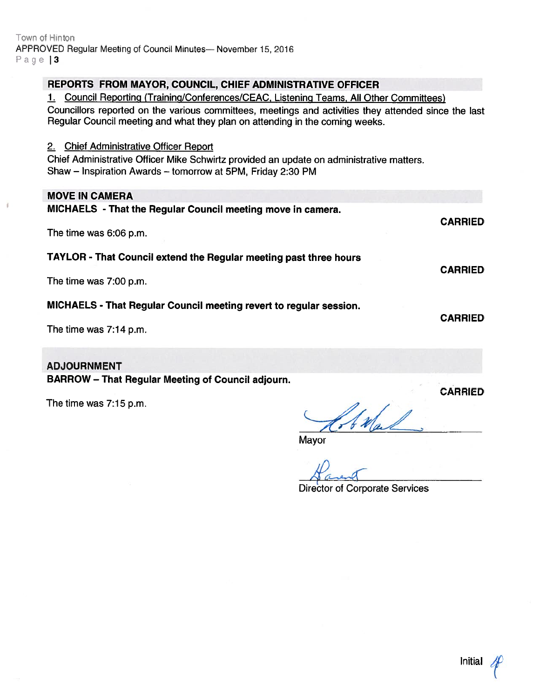# REPORTS FROM MAYOR, COUNCIL, CHIEF ADMINISTRATIVE OFFICER

1. Council Reporting (Training/Conferences/CEAC, Listening Teams, All Other Committees)

Councillors reported on the various committees, meetings and activities they attended since the last Regular Council meeting and what they <sup>p</sup>lan on attending in the coming weeks.

#### 2. Chief Administrative Officer Report

Chief Administrative Officer Mike Schwirtz provided an update on administrative matters. Shaw — Inspiration Awards — tomorrow at 5PM, Friday 2:30 PM

# MOVE IN CAMERA

| MICHAELS - That the Regular Council meeting move in camera.        | <b>CARRIED</b> |
|--------------------------------------------------------------------|----------------|
| The time was 6:06 p.m.                                             |                |
| TAYLOR - That Council extend the Regular meeting past three hours  |                |
| The time was 7:00 p.m.                                             | <b>CARRIED</b> |
| MICHAELS - That Regular Council meeting revert to regular session. |                |
|                                                                    | <b>CARRIED</b> |

The time was 7:14 p.m.

# ADJOURNMENT

BARROW — That Regular Meeting of Council adjourn.

The time was 7:15 p.m.

Wal

Mayor

Director of Corporate Services

CARRIED